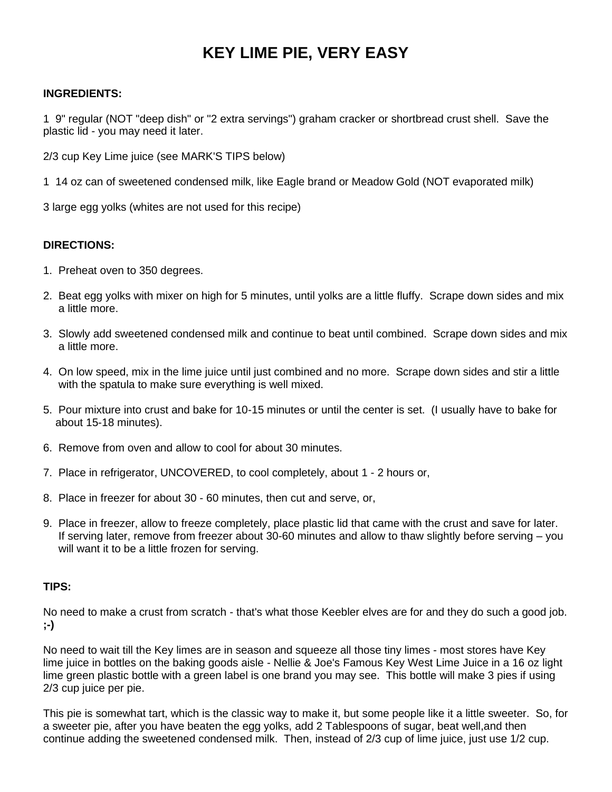## **KEY LIME PIE, VERY EASY**

## **INGREDIENTS:**

1 9" regular (NOT "deep dish" or "2 extra servings") graham cracker or shortbread crust shell. Save the plastic lid - you may need it later.

2/3 cup Key Lime juice (see MARK'S TIPS below)

1 14 oz can of sweetened condensed milk, like Eagle brand or Meadow Gold (NOT evaporated milk)

3 large egg yolks (whites are not used for this recipe)

## **DIRECTIONS:**

- 1. Preheat oven to 350 degrees.
- 2. Beat egg yolks with mixer on high for 5 minutes, until yolks are a little fluffy. Scrape down sides and mix a little more.
- 3. Slowly add sweetened condensed milk and continue to beat until combined. Scrape down sides and mix a little more.
- 4. On low speed, mix in the lime juice until just combined and no more. Scrape down sides and stir a little with the spatula to make sure everything is well mixed.
- 5. Pour mixture into crust and bake for 10-15 minutes or until the center is set. (I usually have to bake for about 15-18 minutes).
- 6. Remove from oven and allow to cool for about 30 minutes.
- 7. Place in refrigerator, UNCOVERED, to cool completely, about 1 2 hours or,
- 8. Place in freezer for about 30 60 minutes, then cut and serve, or,
- 9. Place in freezer, allow to freeze completely, place plastic lid that came with the crust and save for later. If serving later, remove from freezer about 30-60 minutes and allow to thaw slightly before serving – you will want it to be a little frozen for serving.

## **TIPS:**

No need to make a crust from scratch - that's what those Keebler elves are for and they do such a good job. **;-)**

No need to wait till the Key limes are in season and squeeze all those tiny limes - most stores have Key lime juice in bottles on the baking goods aisle - Nellie & Joe's Famous Key West Lime Juice in a 16 oz light lime green plastic bottle with a green label is one brand you may see. This bottle will make 3 pies if using 2/3 cup juice per pie.

This pie is somewhat tart, which is the classic way to make it, but some people like it a little sweeter. So, for a sweeter pie, after you have beaten the egg yolks, add 2 Tablespoons of sugar, beat well,and then continue adding the sweetened condensed milk. Then, instead of 2/3 cup of lime juice, just use 1/2 cup.